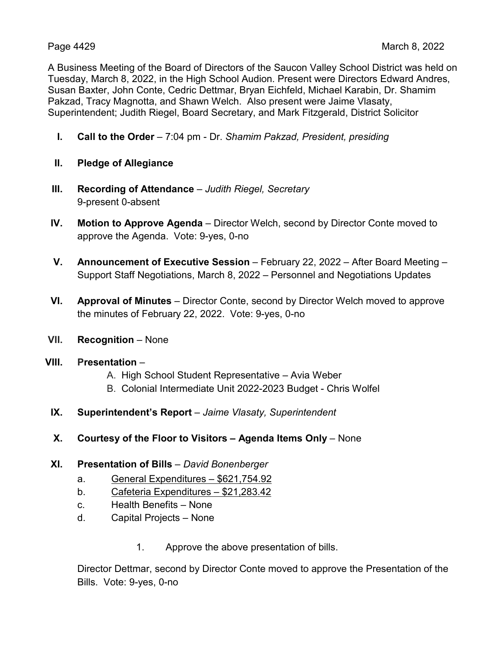A Business Meeting of the Board of Directors of the Saucon Valley School District was held on Tuesday, March 8, 2022, in the High School Audion. Present were Directors Edward Andres, Susan Baxter, John Conte, Cedric Dettmar, Bryan Eichfeld, Michael Karabin, Dr. Shamim Pakzad, Tracy Magnotta, and Shawn Welch. Also present were Jaime Vlasaty, Superintendent; Judith Riegel, Board Secretary, and Mark Fitzgerald, District Solicitor

- **I. Call to the Order** 7:04 pm Dr. *Shamim Pakzad, President, presiding*
- **II. Pledge of Allegiance**
- **III. Recording of Attendance** *Judith Riegel, Secretary* 9-present 0-absent
- **IV. Motion to Approve Agenda** Director Welch, second by Director Conte moved to approve the Agenda. Vote: 9-yes, 0-no
- **V. Announcement of Executive Session** February 22, 2022 After Board Meeting Support Staff Negotiations, March 8, 2022 – Personnel and Negotiations Updates
- **VI. Approval of Minutes** Director Conte, second by Director Welch moved to approve the minutes of February 22, 2022. Vote: 9-yes, 0-no
- **VII. Recognition** None
- **VIII. Presentation**
	- A. High School Student Representative Avia Weber
	- B. Colonial Intermediate Unit 2022-2023 Budget Chris Wolfel
- **IX. Superintendent's Report** *Jaime Vlasaty, Superintendent*
- **X. Courtesy of the Floor to Visitors – Agenda Items Only** None
- **XI. Presentation of Bills** *David Bonenberger*
	- a. General Expenditures \$621,754.92
	- b. Cafeteria Expenditures \$21,283.42
	- c. Health Benefits None
	- d. Capital Projects None
		- 1. Approve the above presentation of bills.

Director Dettmar, second by Director Conte moved to approve the Presentation of the Bills. Vote: 9-yes, 0-no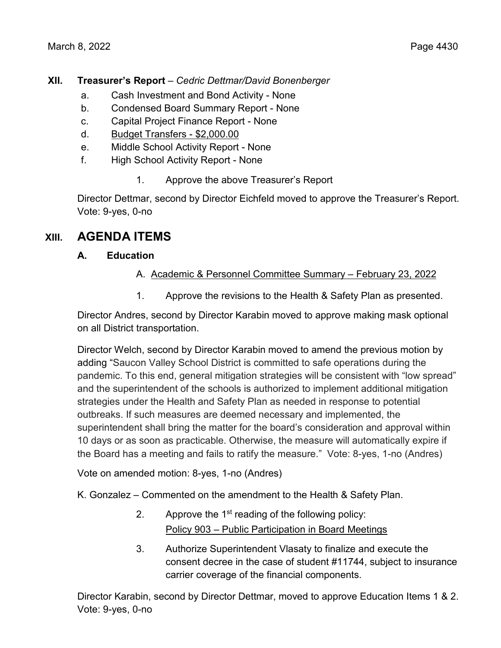## **XII. Treasurer's Report** – *Cedric Dettmar/David Bonenberger*

- a. Cash Investment and Bond Activity None
- b. Condensed Board Summary Report None
- c. Capital Project Finance Report None
- d. Budget Transfers \$2,000.00
- e. Middle School Activity Report None
- f. High School Activity Report None
	- 1. Approve the above Treasurer's Report

Director Dettmar, second by Director Eichfeld moved to approve the Treasurer's Report. Vote: 9-yes, 0-no

# **XIII. AGENDA ITEMS**

## **A. Education**

## A. Academic & Personnel Committee Summary – February 23, 2022

1. Approve the revisions to the Health & Safety Plan as presented.

Director Andres, second by Director Karabin moved to approve making mask optional on all District transportation.

Director Welch, second by Director Karabin moved to amend the previous motion by adding "Saucon Valley School District is committed to safe operations during the pandemic. To this end, general mitigation strategies will be consistent with "low spread" and the superintendent of the schools is authorized to implement additional mitigation strategies under the Health and Safety Plan as needed in response to potential outbreaks. If such measures are deemed necessary and implemented, the superintendent shall bring the matter for the board's consideration and approval within 10 days or as soon as practicable. Otherwise, the measure will automatically expire if the Board has a meeting and fails to ratify the measure." Vote: 8-yes, 1-no (Andres)

Vote on amended motion: 8-yes, 1-no (Andres)

K. Gonzalez – Commented on the amendment to the Health & Safety Plan.

- 2. Approve the  $1<sup>st</sup>$  reading of the following policy: Policy 903 – Public Participation in Board Meetings
- 3. Authorize Superintendent Vlasaty to finalize and execute the consent decree in the case of student #11744, subject to insurance carrier coverage of the financial components.

Director Karabin, second by Director Dettmar, moved to approve Education Items 1 & 2. Vote: 9-yes, 0-no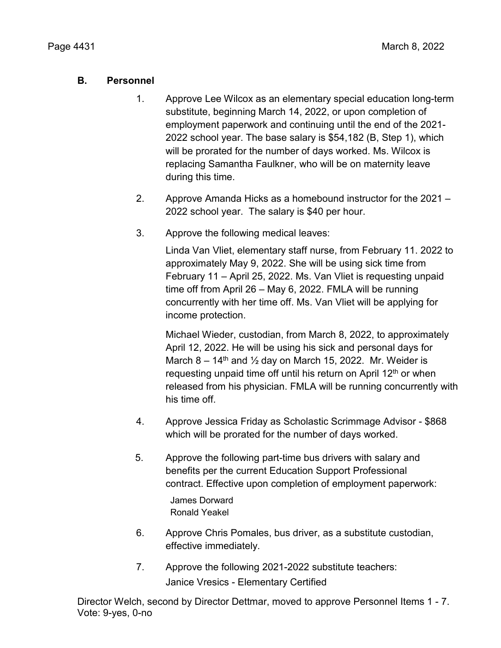## **B. Personnel**

- 1. Approve Lee Wilcox as an elementary special education long-term substitute, beginning March 14, 2022, or upon completion of employment paperwork and continuing until the end of the 2021- 2022 school year. The base salary is \$54,182 (B, Step 1), which will be prorated for the number of days worked. Ms. Wilcox is replacing Samantha Faulkner, who will be on maternity leave during this time.
- 2. Approve Amanda Hicks as a homebound instructor for the 2021 2022 school year. The salary is \$40 per hour.
- 3. Approve the following medical leaves:

Linda Van Vliet, elementary staff nurse, from February 11. 2022 to approximately May 9, 2022. She will be using sick time from February 11 – April 25, 2022. Ms. Van Vliet is requesting unpaid time off from April 26 – May 6, 2022. FMLA will be running concurrently with her time off. Ms. Van Vliet will be applying for income protection.

Michael Wieder, custodian, from March 8, 2022, to approximately April 12, 2022. He will be using his sick and personal days for March 8 – 14<sup>th</sup> and  $\frac{1}{2}$  day on March 15, 2022. Mr. Weider is requesting unpaid time off until his return on April 12<sup>th</sup> or when released from his physician. FMLA will be running concurrently with his time off.

- 4. Approve Jessica Friday as Scholastic Scrimmage Advisor \$868 which will be prorated for the number of days worked.
- 5. Approve the following part-time bus drivers with salary and benefits per the current Education Support Professional contract. Effective upon completion of employment paperwork:

James Dorward Ronald Yeakel

- 6. Approve Chris Pomales, bus driver, as a substitute custodian, effective immediately.
- 7. Approve the following 2021-2022 substitute teachers: Janice Vresics - Elementary Certified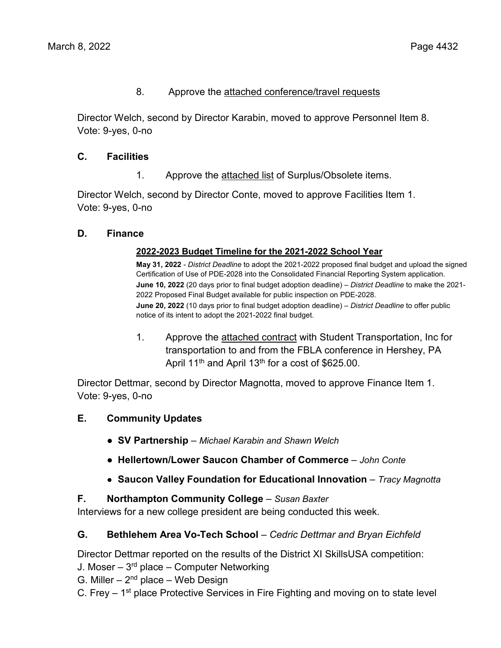### 8. Approve the attached conference/travel requests

Director Welch, second by Director Karabin, moved to approve Personnel Item 8. Vote: 9-yes, 0-no

### **C. Facilities**

1. Approve the attached list of Surplus/Obsolete items.

Director Welch, second by Director Conte, moved to approve Facilities Item 1. Vote: 9-yes, 0-no

#### **D. Finance**

#### **2022-2023 Budget Timeline for the 2021-2022 School Year**

**May 31, 2022** - *District Deadline* to adopt the 2021-2022 proposed final budget and upload the signed Certification of Use of PDE-2028 into the Consolidated Financial Reporting System application. **June 10, 2022** (20 days prior to final budget adoption deadline) – *District Deadline* to make the 2021- 2022 Proposed Final Budget available for public inspection on PDE-2028. **June 20, 2022** (10 days prior to final budget adoption deadline) – *District Deadline* to offer public notice of its intent to adopt the 2021-2022 final budget.

1. Approve the attached contract with Student Transportation, Inc for transportation to and from the FBLA conference in Hershey, PA April 11<sup>th</sup> and April 13<sup>th</sup> for a cost of \$625.00.

Director Dettmar, second by Director Magnotta, moved to approve Finance Item 1. Vote: 9-yes, 0-no

- **E. Community Updates**
	- **● SV Partnership**  *Michael Karabin and Shawn Welch*
	- **● Hellertown/Lower Saucon Chamber of Commerce** *– John Conte*
	- **● Saucon Valley Foundation for Educational Innovation**  *Tracy Magnotta*

#### **F. Northampton Community College** – *Susan Baxter*

Interviews for a new college president are being conducted this week.

## **G. Bethlehem Area Vo-Tech School** *– Cedric Dettmar and Bryan Eichfeld*

Director Dettmar reported on the results of the District XI SkillsUSA competition:

- J. Moser  $3<sup>rd</sup>$  place Computer Networking
- G. Miller  $-2<sup>nd</sup>$  place  $-$  Web Design

C. Frey  $-1$ <sup>st</sup> place Protective Services in Fire Fighting and moving on to state level